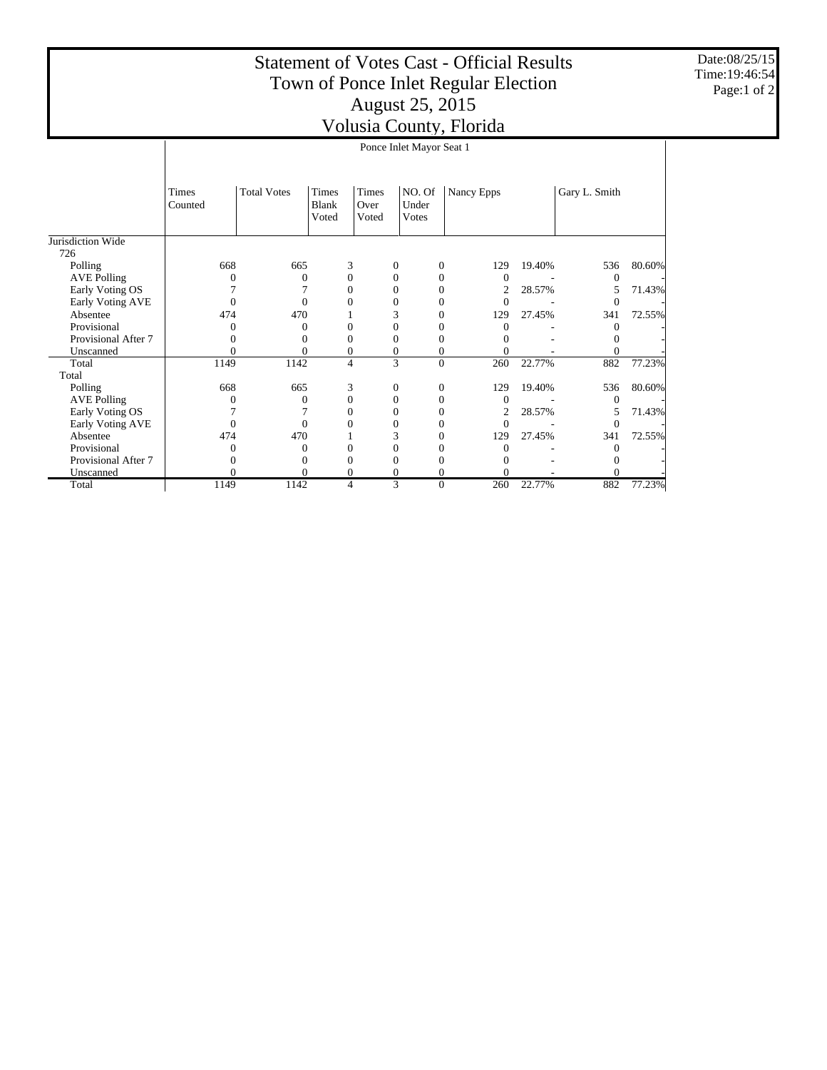## Statement of Votes Cast - Official Results Town of Ponce Inlet Regular Election August 25, 2015 Volusia County, Florida

Date:08/25/15 Time:19:46:54 Page:1 of 2

|                          | ┙'<br>Ponce Inlet Mayor Seat 1 |                    |                         |                        |                                  |                |        |                |        |  |
|--------------------------|--------------------------------|--------------------|-------------------------|------------------------|----------------------------------|----------------|--------|----------------|--------|--|
|                          | <b>Times</b><br>Counted        | <b>Total Votes</b> | Times<br>Blank<br>Voted | Times<br>Over<br>Voted | NO. Of<br>Under<br><b>V</b> otes | Nancy Epps     |        | Gary L. Smith  |        |  |
| Jurisdiction Wide<br>726 |                                |                    |                         |                        |                                  |                |        |                |        |  |
| Polling                  | 668                            | 665                | 3                       | $\boldsymbol{0}$       | $\mathbf{0}$                     | 129            | 19.40% | 536            | 80.60% |  |
| <b>AVE Polling</b>       | $\Omega$                       | $\Omega$           | $\mathbf{0}$            | $\Omega$               | $\Omega$                         | $\Omega$       |        | $\theta$       |        |  |
| Early Voting OS          |                                |                    | $\mathbf{0}$            | 0                      | $\mathbf{0}$                     | $\overline{c}$ | 28.57% | 5              | 71.43% |  |
| Early Voting AVE         | $\Omega$                       | $\Omega$           | $\Omega$                | 0                      | $\Omega$                         | $\Omega$       |        | $\Omega$       |        |  |
| Absentee                 | 474                            | 470                |                         | 3                      | $\mathbf{0}$                     | 129            | 27.45% | 341            | 72.55% |  |
| Provisional              | 0                              | 0                  | $\Omega$                | 0                      | $\Omega$                         | $\Omega$       |        | $\Omega$       |        |  |
| Provisional After 7      | 0                              | 0                  | $\mathbf{0}$            | 0                      | $\mathbf{0}$                     | 0              |        | $^{0}$         |        |  |
| Unscanned                | $\theta$                       | 0                  | $\mathbf{0}$            | 0                      | 0                                | 0              |        | $\overline{0}$ |        |  |
| Total                    | 1149                           | 1142               | $\overline{4}$          | 3                      | $\theta$                         | 260            | 22.77% | 882            | 77.23% |  |
| Total                    |                                |                    |                         |                        |                                  |                |        |                |        |  |
| Polling                  | 668                            | 665                | 3                       | $\boldsymbol{0}$       | $\boldsymbol{0}$                 | 129            | 19.40% | 536            | 80.60% |  |
| <b>AVE Polling</b>       | $\Omega$                       | $\Omega$           | $\overline{0}$          | 0                      | 0                                | $\Omega$       |        | $\theta$       |        |  |
| Early Voting OS          |                                |                    | $\Omega$                | 0                      | $\mathbf{0}$                     | 2              | 28.57% | 5              | 71.43% |  |
| Early Voting AVE         | 0                              | $\Omega$           | 0                       | 0                      | $\Omega$                         | 0              |        | $\theta$       |        |  |
| Absentee                 | 474                            | 470                |                         | 3                      | $\Omega$                         | 129            | 27.45% | 341            | 72.55% |  |
| Provisional              | $\overline{0}$                 | 0                  | $\mathbf{0}$            | 0                      | $\mathbf{0}$                     | 0              |        | $\theta$       |        |  |
| Provisional After 7      | 0                              | 0                  | $\mathbf{0}$            | 0                      | $\Omega$                         |                |        | $\Omega$       |        |  |
| Unscanned                | $\theta$                       | $\Omega$           | $\mathbf{0}$            | 0                      | $\Omega$                         | 0              |        | $\Omega$       |        |  |
| Total                    | 1149                           | 1142               | $\overline{4}$          | 3                      | $\Omega$                         | 260            | 22.77% | 882            | 77.23% |  |